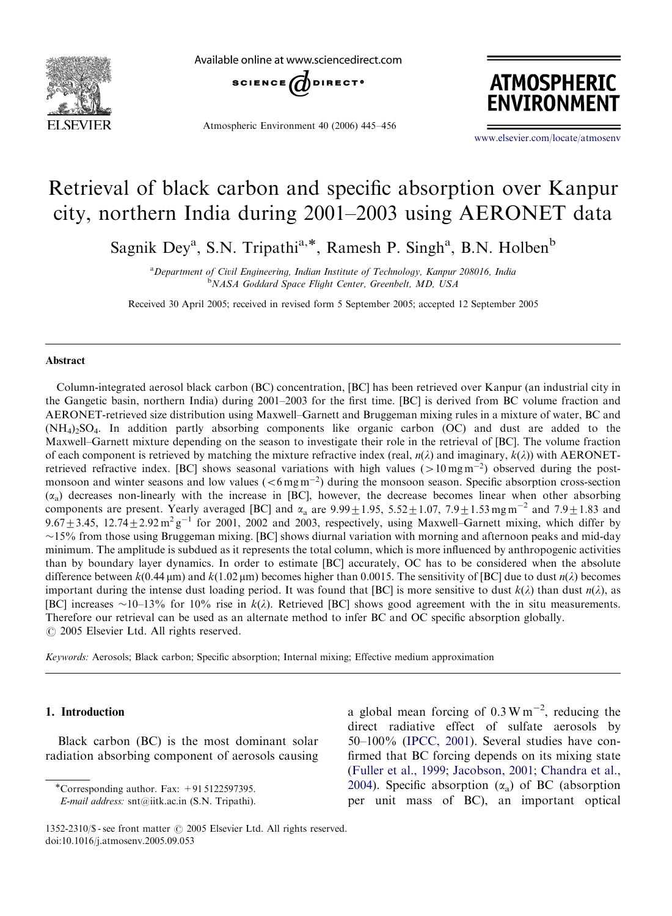

Available online at www.sciencedirect.com



Atmospheric Environment 40 (2006) 445–456



<www.elsevier.com/locate/atmosenv>

# Retrieval of black carbon and specific absorption over Kanpur city, northern India during 2001–2003 using AERONET data

Sagnik Dey<sup>a</sup>, S.N. Tripathi<sup>a,\*</sup>, Ramesh P. Singh<sup>a</sup>, B.N. Holben<sup>b</sup>

<sup>a</sup> Department of Civil Engineering, Indian Institute of Technology, Kanpur 208016, India <sup>b</sup>NASA Goddard Space Flight Center, Greenbelt, MD, USA

Received 30 April 2005; received in revised form 5 September 2005; accepted 12 September 2005

#### Abstract

Column-integrated aerosol black carbon (BC) concentration, [BC] has been retrieved over Kanpur (an industrial city in the Gangetic basin, northern India) during 2001–2003 for the first time. [BC] is derived from BC volume fraction and AERONET-retrieved size distribution using Maxwell–Garnett and Bruggeman mixing rules in a mixture of water, BC and  $(NH<sub>4</sub>)<sub>2</sub>SO<sub>4</sub>$ . In addition partly absorbing components like organic carbon (OC) and dust are added to the Maxwell–Garnett mixture depending on the season to investigate their role in the retrieval of [BC]. The volume fraction of each component is retrieved by matching the mixture refractive index (real,  $n(\lambda)$  and imaginary,  $k(\lambda)$ ) with AERONETretrieved refractive index. [BC] shows seasonal variations with high values ( $>10$  mg m<sup>-2</sup>) observed during the postmonsoon and winter seasons and low values  $(<6 \text{mg m}^{-2})$  during the monsoon season. Specific absorption cross-section  $(x_a)$  decreases non-linearly with the increase in [BC], however, the decrease becomes linear when other absorbing components are present. Yearly averaged [BC] and  $\alpha_a$  are  $9.99 \pm 1.95$ ,  $5.52 \pm 1.07$ ,  $7.9 \pm 1.53$  mg m<sup>-2</sup> and  $7.9 \pm 1.83$  and 9.67 $\pm$ 3.45, 12.74 $\pm$ 2.92 m<sup>2</sup> g<sup>-1</sup> for 2001, 2002 and 2003, respectively, using Maxwell–Garnett mixing, which differ by  $\sim$ 15% from those using Bruggeman mixing. [BC] shows diurnal variation with morning and afternoon peaks and mid-day minimum. The amplitude is subdued as it represents the total column, which is more influenced by anthropogenic activities than by boundary layer dynamics. In order to estimate [BC] accurately, OC has to be considered when the absolute difference between  $k(0.44 \,\mu\text{m})$  and  $k(1.02 \,\mu\text{m})$  becomes higher than 0.0015. The sensitivity of [BC] due to dust  $n(\lambda)$  becomes important during the intense dust loading period. It was found that [BC] is more sensitive to dust  $k(\lambda)$  than dust  $n(\lambda)$ , as [BC] increases ~10–13% for 10% rise in  $k(\lambda)$ . Retrieved [BC] shows good agreement with the in situ measurements. Therefore our retrieval can be used as an alternate method to infer BC and OC specific absorption globally.  $\odot$  2005 Elsevier Ltd. All rights reserved.

Keywords: Aerosols; Black carbon; Specific absorption; Internal mixing; Effective medium approximation

#### 1. Introduction

Black carbon (BC) is the most dominant solar radiation absorbing component of aerosols causing

\*Corresponding author. Fax:  $+91\overline{5122597395}$ .

a global mean forcing of  $0.3 \text{ W m}^{-2}$ , reducing the direct radiative effect of sulfate aerosols by 50–100% ([IPCC, 2001\)](#page-10-0). Several studies have confirmed that BC forcing depends on its mixing state [\(Fuller et al., 1999](#page-10-0); [Jacobson, 2001;](#page-10-0) [Chandra et al.,](#page-9-0) [2004\)](#page-9-0). Specific absorption  $(\alpha_a)$  of BC (absorption per unit mass of BC), an important optical

E-mail address: snt@iitk.ac.in (S.N. Tripathi).

<sup>1352-2310/\$ -</sup> see front matter  $\odot$  2005 Elsevier Ltd. All rights reserved. doi:10.1016/j.atmosenv.2005.09.053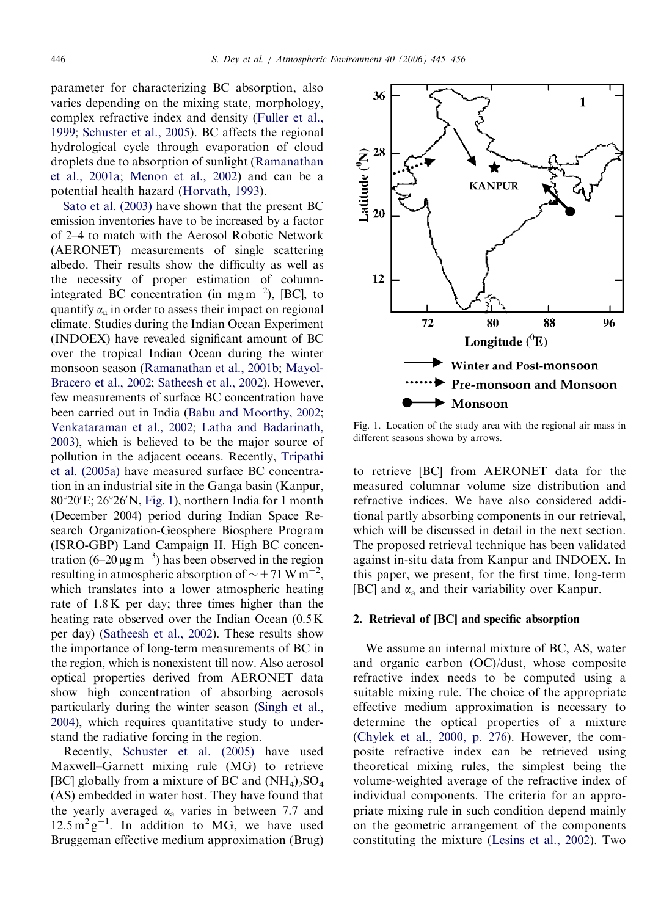<span id="page-1-0"></span>parameter for characterizing BC absorption, also varies depending on the mixing state, morphology, complex refractive index and density [\(Fuller et al.,](#page-10-0) [1999](#page-10-0); [Schuster et al., 2005\)](#page-10-0). BC affects the regional hydrological cycle through evaporation of cloud droplets due to absorption of sunlight ([Ramanathan](#page-10-0) [et al., 2001a](#page-10-0); [Menon et al., 2002](#page-10-0)) and can be a potential health hazard ([Horvath, 1993](#page-10-0)).

[Sato et al. \(2003\)](#page-10-0) have shown that the present BC emission inventories have to be increased by a factor of 2–4 to match with the Aerosol Robotic Network (AERONET) measurements of single scattering albedo. Their results show the difficulty as well as the necessity of proper estimation of columnintegrated BC concentration (in mgm<sup>-2</sup>), [BC], to quantify  $\alpha_a$  in order to assess their impact on regional climate. Studies during the Indian Ocean Experiment (INDOEX) have revealed significant amount of BC over the tropical Indian Ocean during the winter monsoon season ([Ramanathan et al., 2001b;](#page-10-0) [Mayol-](#page-10-0)[Bracero et al., 2002;](#page-10-0) [Satheesh et al., 2002](#page-10-0)). However, few measurements of surface BC concentration have been carried out in India [\(Babu and Moorthy, 2002;](#page-9-0) [Venkataraman et al., 2002](#page-11-0); [Latha and Badarinath,](#page-10-0) [2003\)](#page-10-0), which is believed to be the major source of pollution in the adjacent oceans. Recently, [Tripathi](#page-11-0) [et al. \(2005a\)](#page-11-0) have measured surface BC concentration in an industrial site in the Ganga basin (Kanpur, 80°20'E; 26°26'N, Fig. 1), northern India for 1 month (December 2004) period during Indian Space Research Organization-Geosphere Biosphere Program (ISRO-GBP) Land Campaign II. High BC concentration  $(6-20 \,\mu g\,\text{m}^{-3})$  has been observed in the region resulting in atmospheric absorption of  $\sim$  +71 W m<sup>-2</sup>, which translates into a lower atmospheric heating rate of 1.8 K per day; three times higher than the heating rate observed over the Indian Ocean (0.5 K per day) [\(Satheesh et al., 2002](#page-10-0)). These results show the importance of long-term measurements of BC in the region, which is nonexistent till now. Also aerosol optical properties derived from AERONET data show high concentration of absorbing aerosols particularly during the winter season [\(Singh et al.,](#page-10-0) [2004\)](#page-10-0), which requires quantitative study to understand the radiative forcing in the region.

Recently, [Schuster et al. \(2005\)](#page-10-0) have used Maxwell–Garnett mixing rule (MG) to retrieve [BC] globally from a mixture of BC and  $(NH_4)_2SO_4$ (AS) embedded in water host. They have found that the yearly averaged  $\alpha_a$  varies in between 7.7 and  $12.5 \text{ m}^2 \text{ g}^{-1}$ . In addition to MG, we have used Bruggeman effective medium approximation (Brug)



Fig. 1. Location of the study area with the regional air mass in different seasons shown by arrows.

to retrieve [BC] from AERONET data for the measured columnar volume size distribution and refractive indices. We have also considered additional partly absorbing components in our retrieval, which will be discussed in detail in the next section. The proposed retrieval technique has been validated against in-situ data from Kanpur and INDOEX. In this paper, we present, for the first time, long-term [BC] and  $\alpha_a$  and their variability over Kanpur.

#### 2. Retrieval of [BC] and specific absorption

We assume an internal mixture of BC, AS, water and organic carbon (OC)/dust, whose composite refractive index needs to be computed using a suitable mixing rule. The choice of the appropriate effective medium approximation is necessary to determine the optical properties of a mixture ([Chylek et al., 2000, p. 276\)](#page-9-0). However, the composite refractive index can be retrieved using theoretical mixing rules, the simplest being the volume-weighted average of the refractive index of individual components. The criteria for an appropriate mixing rule in such condition depend mainly on the geometric arrangement of the components constituting the mixture [\(Lesins et al., 2002](#page-10-0)). Two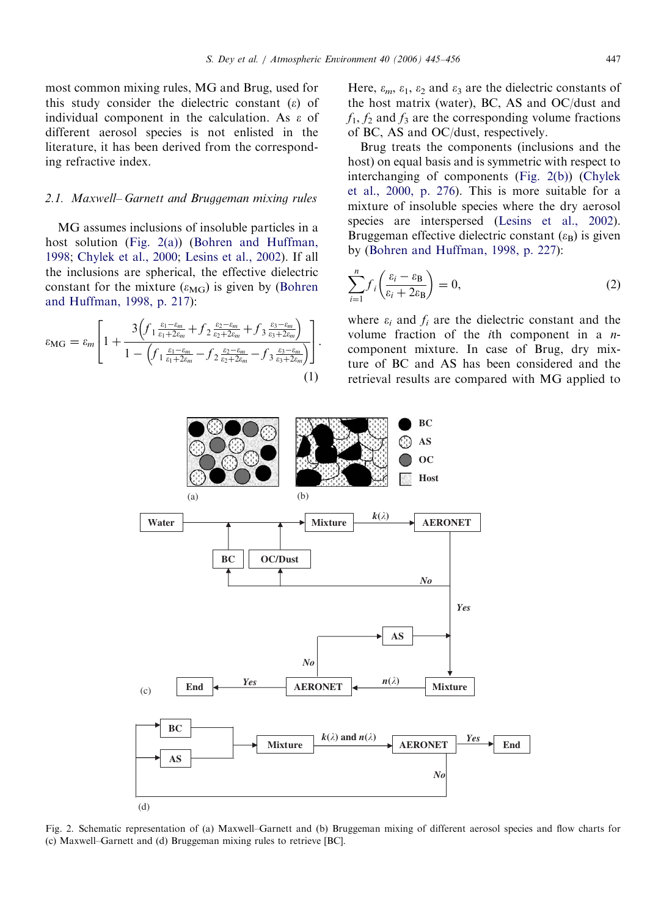<span id="page-2-0"></span>most common mixing rules, MG and Brug, used for this study consider the dielectric constant  $(\varepsilon)$  of individual component in the calculation. As  $\varepsilon$  of different aerosol species is not enlisted in the literature, it has been derived from the corresponding refractive index.

## 2.1. Maxwell– Garnett and Bruggeman mixing rules

MG assumes inclusions of insoluble particles in a host solution (Fig. 2(a)) ([Bohren and Huffman,](#page-9-0) [1998;](#page-9-0) [Chylek et al., 2000;](#page-9-0) [Lesins et al., 2002\)](#page-10-0). If all the inclusions are spherical, the effective dielectric constant for the mixture ( $\varepsilon_{\text{MG}}$ ) is given by ([Bohren](#page-9-0) [and Huffman, 1998, p. 217\)](#page-9-0):

$$
\varepsilon_{\text{MG}} = \varepsilon_m \left[ 1 + \frac{3 \left( f_1 \frac{\varepsilon_1 - \varepsilon_m}{\varepsilon_1 + 2\varepsilon_m} + f_2 \frac{\varepsilon_2 - \varepsilon_m}{\varepsilon_2 + 2\varepsilon_m} + f_3 \frac{\varepsilon_3 - \varepsilon_m}{\varepsilon_3 + 2\varepsilon_m} \right)}{1 - \left( f_1 \frac{\varepsilon_1 - \varepsilon_m}{\varepsilon_1 + 2\varepsilon_m} - f_2 \frac{\varepsilon_2 - \varepsilon_m}{\varepsilon_2 + 2\varepsilon_m} - f_3 \frac{\varepsilon_3 - \varepsilon_m}{\varepsilon_3 + 2\varepsilon_m} \right)} \right].
$$

$$
(1)
$$

Here,  $\varepsilon_m$ ,  $\varepsilon_1$ ,  $\varepsilon_2$  and  $\varepsilon_3$  are the dielectric constants of the host matrix (water), BC, AS and OC/dust and  $f_1$ ,  $f_2$  and  $f_3$  are the corresponding volume fractions of BC, AS and OC/dust, respectively.

Brug treats the components (inclusions and the host) on equal basis and is symmetric with respect to interchanging of components (Fig. 2(b)) ([Chylek](#page-9-0) [et al., 2000, p. 276\)](#page-9-0). This is more suitable for a mixture of insoluble species where the dry aerosol species are interspersed ([Lesins et al., 2002](#page-10-0)). Bruggeman effective dielectric constant  $(\varepsilon_{\text{B}})$  is given by [\(Bohren and Huffman, 1998, p. 227\)](#page-9-0):

$$
\sum_{i=1}^{n} f_i \left( \frac{\varepsilon_i - \varepsilon_B}{\varepsilon_i + 2\varepsilon_B} \right) = 0,
$$
\n(2)

where  $\varepsilon_i$  and  $f_i$  are the dielectric constant and the volume fraction of the *i*th component in a  $n$ component mixture. In case of Brug, dry mixture of BC and AS has been considered and the retrieval results are compared with MG applied to



Fig. 2. Schematic representation of (a) Maxwell–Garnett and (b) Bruggeman mixing of different aerosol species and flow charts for (c) Maxwell–Garnett and (d) Bruggeman mixing rules to retrieve [BC].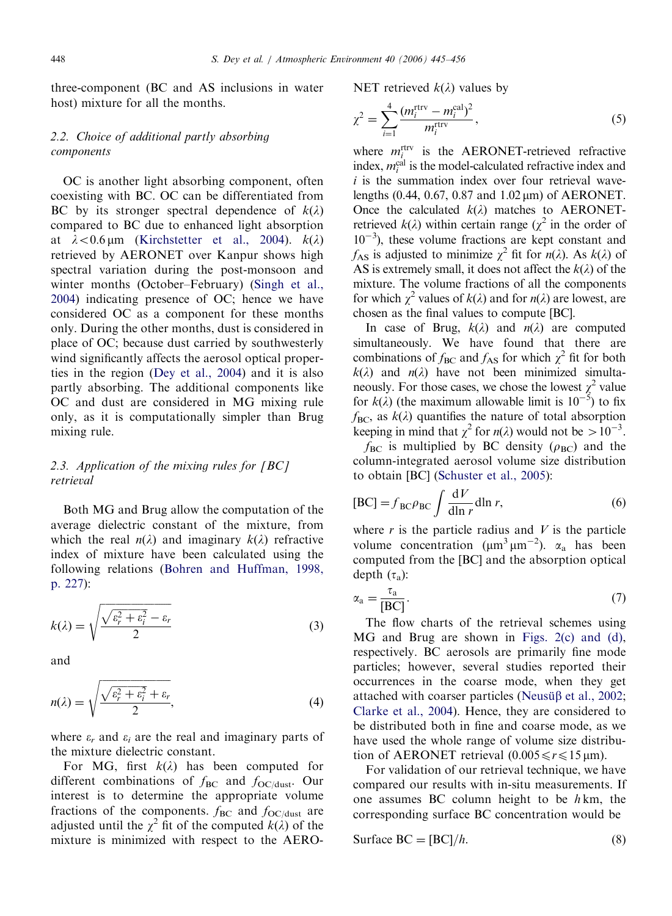three-component (BC and AS inclusions in water host) mixture for all the months.

# 2.2. Choice of additional partly absorbing components

OC is another light absorbing component, often coexisting with BC. OC can be differentiated from BC by its stronger spectral dependence of  $k(\lambda)$ compared to BC due to enhanced light absorption at  $\lambda < 0.6$  µm ([Kirchstetter et al., 2004\)](#page-10-0).  $k(\lambda)$ retrieved by AERONET over Kanpur shows high spectral variation during the post-monsoon and winter months (October–February) [\(Singh et al.,](#page-10-0) [2004](#page-10-0)) indicating presence of OC; hence we have considered OC as a component for these months only. During the other months, dust is considered in place of OC; because dust carried by southwesterly wind significantly affects the aerosol optical properties in the region [\(Dey et al., 2004\)](#page-10-0) and it is also partly absorbing. The additional components like OC and dust are considered in MG mixing rule only, as it is computationally simpler than Brug mixing rule.

# 2.3. Application of the mixing rules for  $[BC]$ retrieval

Both MG and Brug allow the computation of the average dielectric constant of the mixture, from which the real  $n(\lambda)$  and imaginary  $k(\lambda)$  refractive index of mixture have been calculated using the following relations [\(Bohren and Huffman, 1998,](#page-9-0) [p. 227\)](#page-9-0):

$$
k(\lambda) = \sqrt{\frac{\sqrt{\varepsilon_r^2 + \varepsilon_i^2} - \varepsilon_r}{2}} \tag{3}
$$

and

$$
n(\lambda) = \sqrt{\frac{\sqrt{\varepsilon_r^2 + \varepsilon_i^2} + \varepsilon_r}{2}},\tag{4}
$$

where  $\varepsilon_r$  and  $\varepsilon_i$  are the real and imaginary parts of the mixture dielectric constant.

For MG, first  $k(\lambda)$  has been computed for different combinations of  $f_{BC}$  and  $f_{OC/dust}$ . Our interest is to determine the appropriate volume fractions of the components.  $f_{BC}$  and  $f_{OC/dust}$  are adjusted until the  $\chi^2$  fit of the computed  $k(\lambda)$  of the mixture is minimized with respect to the AERO-

NET retrieved  $k(\lambda)$  values by

$$
\chi^2 = \sum_{i=1}^4 \frac{(m_i^{\text{rtrv}} - m_i^{\text{cal}})^2}{m_i^{\text{rtrv}}},\tag{5}
$$

where  $m_i^{\text{rtrv}}$  is the AERONET-retrieved refractive index,  $m_i^{\text{cal}}$  is the model-calculated refractive index and  $i$  is the summation index over four retrieval wavelengths  $(0.44, 0.67, 0.87, 0.102 \,\mu m)$  of AERONET. Once the calculated  $k(\lambda)$  matches to AERONETretrieved  $k(\lambda)$  within certain range ( $\chi^2$  in the order of  $10^{-3}$ ), these volume fractions are kept constant and  $f_{AS}$  is adjusted to minimize  $\chi^2$  fit for  $n(\lambda)$ . As  $k(\lambda)$  of AS is extremely small, it does not affect the  $k(\lambda)$  of the mixture. The volume fractions of all the components for which  $\chi^2$  values of  $k(\lambda)$  and for  $n(\lambda)$  are lowest, are chosen as the final values to compute [BC].

In case of Brug,  $k(\lambda)$  and  $n(\lambda)$  are computed simultaneously. We have found that there are combinations of  $f_{BC}$  and  $f_{AS}$  for which  $\chi^2$  fit for both  $k(\lambda)$  and  $n(\lambda)$  have not been minimized simultaneously. For those cases, we chose the lowest  $\chi^2$  value for  $k(\lambda)$  (the maximum allowable limit is  $10^{-5}$ ) to fix  $f_{BC}$ , as  $k(\lambda)$  quantifies the nature of total absorption keeping in mind that  $\chi^2$  for  $n(\lambda)$  would not be  $> 10^{-3}$ .

 $f_{BC}$  is multiplied by BC density ( $\rho_{BC}$ ) and the column-integrated aerosol volume size distribution to obtain [BC] [\(Schuster et al., 2005](#page-10-0)):

$$
[BC] = f_{BC}\rho_{BC} \int \frac{dV}{d\ln r} \, \mathrm{d}\ln r,\tag{6}
$$

where  $r$  is the particle radius and  $V$  is the particle volume concentration ( $\mu$ m<sup>3</sup> $\mu$ m<sup>-2</sup>).  $\alpha$ <sub>a</sub> has been computed from the [BC] and the absorption optical depth  $(\tau_a)$ :

$$
\alpha_{\rm a} = \frac{\tau_{\rm a}}{[BC]}.\tag{7}
$$

The flow charts of the retrieval schemes using MG and Brug are shown in [Figs. 2\(c\) and \(d\),](#page-2-0) respectively. BC aerosols are primarily fine mode particles; however, several studies reported their occurrences in the coarse mode, when they get attached with coarser particles (Neusung [et al., 2002;](#page-10-0) [Clarke et al., 2004](#page-9-0)). Hence, they are considered to be distributed both in fine and coarse mode, as we have used the whole range of volume size distribution of AERONET retrieval  $(0.005 \le r \le 15 \,\text{\mu m})$ .

For validation of our retrieval technique, we have compared our results with in-situ measurements. If one assumes BC column height to be  $h$  km, the corresponding surface BC concentration would be

Surface BC = [BC]/h. 
$$
(8)
$$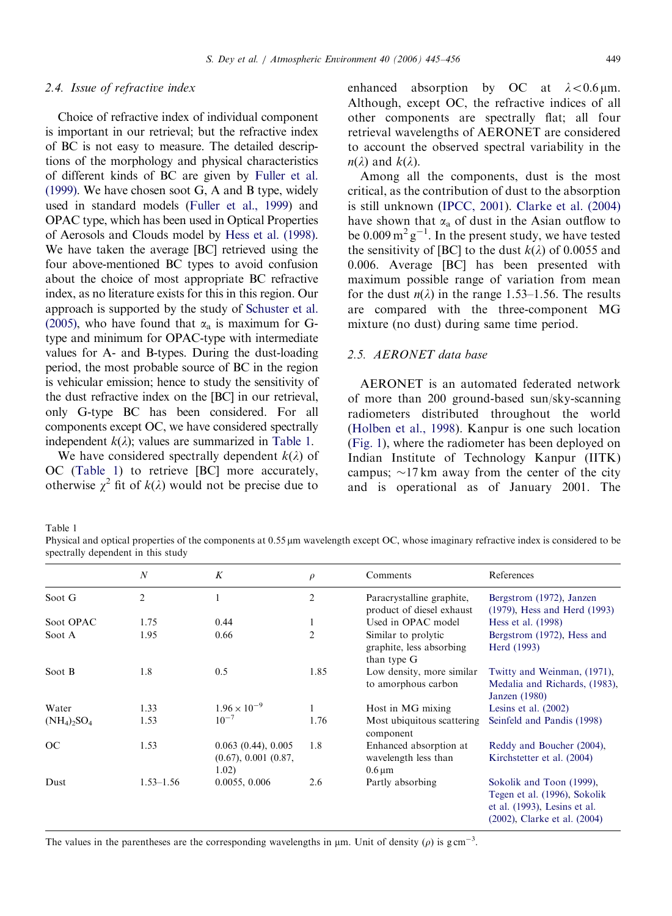#### S. Dey et al. / Atmospheric Environment 40 (2006) 445–456 449

#### 2.4. Issue of refractive index

Choice of refractive index of individual component is important in our retrieval; but the refractive index of BC is not easy to measure. The detailed descriptions of the morphology and physical characteristics of different kinds of BC are given by [Fuller et al.](#page-10-0) [\(1999\)](#page-10-0). We have chosen soot G, A and B type, widely used in standard models ([Fuller et al., 1999\)](#page-10-0) and OPAC type, which has been used in Optical Properties of Aerosols and Clouds model by [Hess et al. \(1998\)](#page-10-0). We have taken the average [BC] retrieved using the four above-mentioned BC types to avoid confusion about the choice of most appropriate BC refractive index, as no literature exists for this in this region. Our approach is supported by the study of [Schuster et al.](#page-10-0) [\(2005\)](#page-10-0), who have found that  $\alpha_a$  is maximum for Gtype and minimum for OPAC-type with intermediate values for A- and B-types. During the dust-loading period, the most probable source of BC in the region is vehicular emission; hence to study the sensitivity of the dust refractive index on the [BC] in our retrieval, only G-type BC has been considered. For all components except OC, we have considered spectrally independent  $k(\lambda)$ ; values are summarized in Table 1.

We have considered spectrally dependent  $k(\lambda)$  of OC (Table 1) to retrieve [BC] more accurately, otherwise  $\chi^2$  fit of  $k(\lambda)$  would not be precise due to enhanced absorption by OC at  $\lambda < 0.6 \,\mu$ m. Although, except OC, the refractive indices of all other components are spectrally flat; all four retrieval wavelengths of AERONET are considered to account the observed spectral variability in the  $n(\lambda)$  and  $k(\lambda)$ .

Among all the components, dust is the most critical, as the contribution of dust to the absorption is still unknown [\(IPCC, 2001\)](#page-10-0). [Clarke et al. \(2004\)](#page-9-0) have shown that  $\alpha_a$  of dust in the Asian outflow to be  $0.009 \,\mathrm{m}^2 \mathrm{g}^{-1}$ . In the present study, we have tested the sensitivity of [BC] to the dust  $k(\lambda)$  of 0.0055 and 0.006. Average [BC] has been presented with maximum possible range of variation from mean for the dust  $n(\lambda)$  in the range 1.53–1.56. The results are compared with the three-component MG mixture (no dust) during same time period.

## 2.5. AERONET data base

AERONET is an automated federated network of more than 200 ground-based sun/sky-scanning radiometers distributed throughout the world [\(Holben et al., 1998](#page-10-0)). Kanpur is one such location [\(Fig. 1\)](#page-1-0), where the radiometer has been deployed on Indian Institute of Technology Kanpur (IITK) campus;  $\sim$ 17 km away from the center of the city and is operational as of January 2001. The

Table 1

Physical and optical properties of the components at 0.55  $\mu$ m wavelength except OC, whose imaginary refractive index is considered to be spectrally dependent in this study

|                | $\boldsymbol{N}$ | K                                                       | $\rho$         | Comments                                                                   | References                                                                                                               |
|----------------|------------------|---------------------------------------------------------|----------------|----------------------------------------------------------------------------|--------------------------------------------------------------------------------------------------------------------------|
| Soot G         | 2                |                                                         | 2              | Paracrystalline graphite,<br>product of diesel exhaust                     | Bergstrom (1972), Janzen<br>(1979), Hess and Herd (1993)                                                                 |
| Soot OPAC      | 1.75             | 0.44                                                    |                | Used in OPAC model                                                         | Hess et al. (1998)                                                                                                       |
| Soot A         | 1.95             | 0.66                                                    | $\overline{2}$ | Similar to prolytic<br>graphite, less absorbing<br>than type G             | Bergstrom (1972), Hess and<br>Herd (1993)                                                                                |
| Soot B         | 1.8              | 0.5                                                     | 1.85           | Low density, more similar<br>to amorphous carbon                           | Twitty and Weinman, (1971),<br>Medalia and Richards, (1983),<br>Janzen (1980)                                            |
| Water          | 1.33             | $1.96 \times 10^{-9}$                                   |                | Host in MG mixing                                                          | Lesins et al. $(2002)$                                                                                                   |
| $(NH_4)_2SO_4$ | 1.53             | $10^{-7}$                                               | 1.76           | Most ubiquitous scattering<br>component                                    | Seinfeld and Pandis (1998)                                                                                               |
| OC             | 1.53             | 0.063(0.44), 0.005<br>$(0.67), 0.001$ $(0.87,$<br>1.02) | 1.8            | Enhanced absorption at<br>wavelength less than<br>$0.6 \,\mathrm{\upmu m}$ | Reddy and Boucher (2004),<br>Kirchstetter et al. (2004)                                                                  |
| Dust           | $1.53 - 1.56$    | 0.0055, 0.006                                           | 2.6            | Partly absorbing                                                           | Sokolik and Toon (1999),<br>Tegen et al. (1996), Sokolik<br>et al. (1993), Lesins et al.<br>(2002), Clarke et al. (2004) |

The values in the parentheses are the corresponding wavelengths in  $\mu$ m. Unit of density ( $\rho$ ) is g cm<sup>-3</sup>.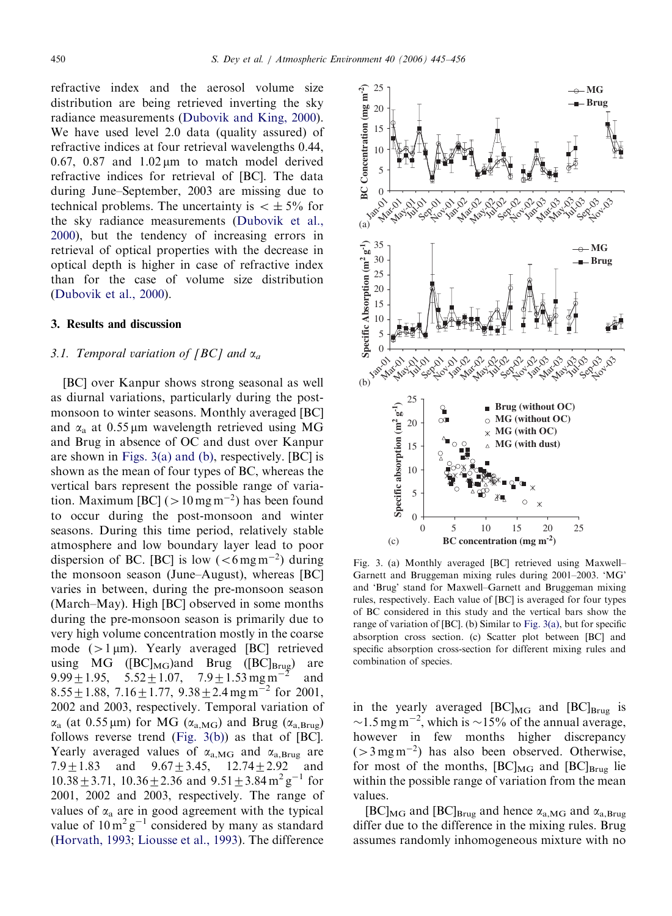<span id="page-5-0"></span>refractive index and the aerosol volume size distribution are being retrieved inverting the sky radiance measurements ([Dubovik and King, 2000](#page-10-0)). We have used level 2.0 data (quality assured) of refractive indices at four retrieval wavelengths 0.44, 0.67, 0.87 and  $1.02 \text{ µm}$  to match model derived refractive indices for retrieval of [BC]. The data during June–September, 2003 are missing due to technical problems. The uncertainty is  $\lt \pm 5\%$  for the sky radiance measurements ([Dubovik et al.,](#page-10-0) [2000](#page-10-0)), but the tendency of increasing errors in retrieval of optical properties with the decrease in optical depth is higher in case of refractive index than for the case of volume size distribution ([Dubovik et al., 2000](#page-10-0)).

#### 3. Results and discussion

## 3.1. Temporal variation of [BC] and  $\alpha_a$

[BC] over Kanpur shows strong seasonal as well as diurnal variations, particularly during the postmonsoon to winter seasons. Monthly averaged [BC] and  $\alpha_a$  at 0.55 µm wavelength retrieved using MG and Brug in absence of OC and dust over Kanpur are shown in Figs. 3(a) and (b), respectively. [BC] is shown as the mean of four types of BC, whereas the vertical bars represent the possible range of variation. Maximum [BC] ( $>10$  mg m<sup>-2</sup>) has been found to occur during the post-monsoon and winter seasons. During this time period, relatively stable atmosphere and low boundary layer lead to poor dispersion of BC. [BC] is low  $( $6 \,\mathrm{mg\,m^{-2}}$  during$ the monsoon season (June–August), whereas [BC] varies in between, during the pre-monsoon season (March–May). High [BC] observed in some months during the pre-monsoon season is primarily due to very high volume concentration mostly in the coarse mode  $(>1 \,\mu\text{m})$ . Yearly averaged [BC] retrieved using MG  $([BC]_{MG})$ and Brug  $([BC]_{Brug})$  are 9.99  $\pm$  1.95, 5.52  $\pm$  1.07, 7.9  $\pm$  1.53 mg m<sup>-2</sup> and 8.55  $\pm$  1.88, 7.16  $\pm$  1.77, 9.38  $\pm$  2.4 mg m<sup>-2</sup> for 2001, 2002 and 2003, respectively. Temporal variation of  $\alpha_a$  (at 0.55 µm) for MG ( $\alpha_{a, \text{MG}}$ ) and Brug ( $\alpha_{a, \text{Brug}}$ ) follows reverse trend (Fig. 3(b)) as that of [BC]. Yearly averaged values of  $\alpha_{a,MG}$  and  $\alpha_{a,Brue}$  are 7.9 $\pm$ 1.83 and 9.67 $\pm$ 3.45, 12.74 $\pm$ 2.92 and  $10.38 \pm 3.71$ ,  $10.36 \pm 2.36$  and  $9.51 \pm 3.84$  m<sup>2</sup> g<sup>-1</sup> for 2001, 2002 and 2003, respectively. The range of values of  $\alpha_a$  are in good agreement with the typical value of  $10 \text{ m}^2 \text{ g}^{-1}$  considered by many as standard ([Horvath, 1993](#page-10-0); [Liousse et al., 1993\)](#page-10-0). The difference



Fig. 3. (a) Monthly averaged [BC] retrieved using Maxwell– Garnett and Bruggeman mixing rules during 2001–2003. 'MG' and 'Brug' stand for Maxwell–Garnett and Bruggeman mixing rules, respectively. Each value of [BC] is averaged for four types of BC considered in this study and the vertical bars show the range of variation of [BC]. (b) Similar to Fig. 3(a), but for specific absorption cross section. (c) Scatter plot between [BC] and specific absorption cross-section for different mixing rules and combination of species.

in the yearly averaged  $[BC]_{MG}$  and  $[BC]_{Brug}$  is  $\sim$ 1.5 mg m<sup>-2</sup>, which is  $\sim$ 15% of the annual average, however in few months higher discrepancy  $(>3 \,\text{mg}\,\text{m}^{-2})$  has also been observed. Otherwise, for most of the months,  $[BC]_{MG}$  and  $[BC]_{Brug}$  lie within the possible range of variation from the mean values.

 $[BC]_{\text{MG}}$  and  $[BC]_{\text{Brug}}$  and hence  $\alpha_{a,\text{MG}}$  and  $\alpha_{a,\text{Brug}}$ differ due to the difference in the mixing rules. Brug assumes randomly inhomogeneous mixture with no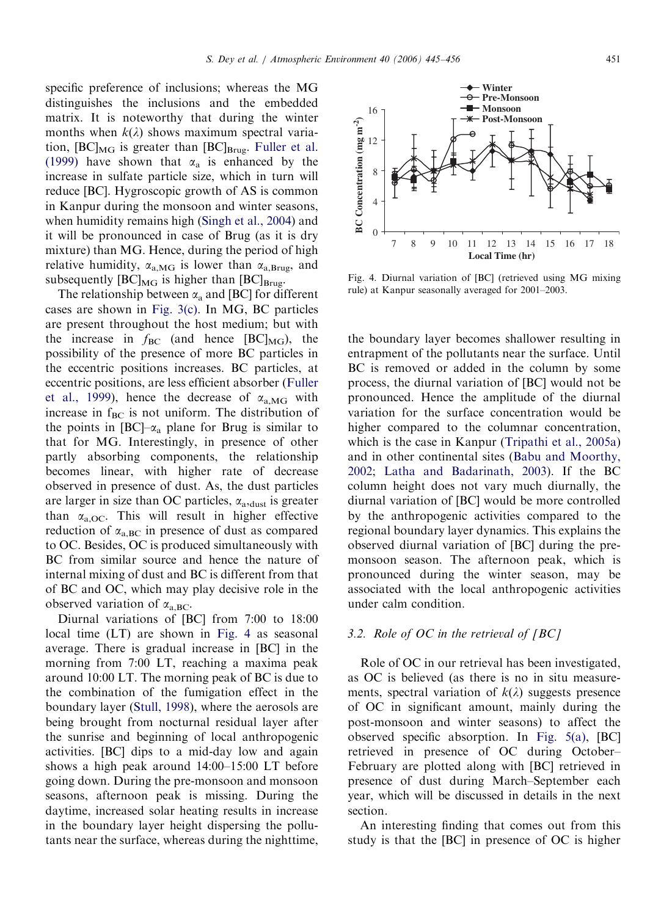specific preference of inclusions; whereas the MG distinguishes the inclusions and the embedded matrix. It is noteworthy that during the winter months when  $k(\lambda)$  shows maximum spectral variation,  $[BC]_{MG}$  is greater than  $[BC]_{Brug}$ . [Fuller et al.](#page-10-0) [\(1999\)](#page-10-0) have shown that  $\alpha_a$  is enhanced by the increase in sulfate particle size, which in turn will reduce [BC]. Hygroscopic growth of AS is common in Kanpur during the monsoon and winter seasons, when humidity remains high ([Singh et al., 2004](#page-10-0)) and it will be pronounced in case of Brug (as it is dry mixture) than MG. Hence, during the period of high relative humidity,  $\alpha_{a, \text{MG}}$  is lower than  $\alpha_{a, \text{Brug}}$ , and subsequently  $[BC]_{MG}$  is higher than  $[BC]_{Brug.}$ 

The relationship between  $\alpha_a$  and [BC] for different cases are shown in [Fig. 3\(c\).](#page-5-0) In MG, BC particles are present throughout the host medium; but with the increase in  $f_{BC}$  (and hence  $[BC]_{MG}$ ), the possibility of the presence of more BC particles in the eccentric positions increases. BC particles, at eccentric positions, are less efficient absorber [\(Fuller](#page-10-0) [et al., 1999\)](#page-10-0), hence the decrease of  $\alpha_{a,MG}$  with increase in  $f_{BC}$  is not uniform. The distribution of the points in  $[BC]-\alpha_a$  plane for Brug is similar to that for MG. Interestingly, in presence of other partly absorbing components, the relationship becomes linear, with higher rate of decrease observed in presence of dust. As, the dust particles are larger in size than OC particles,  $\alpha_{\text{a}}$ , dust is greater than  $\alpha_{a,OC}$ . This will result in higher effective reduction of  $\alpha_{a,BC}$  in presence of dust as compared to OC. Besides, OC is produced simultaneously with BC from similar source and hence the nature of internal mixing of dust and BC is different from that of BC and OC, which may play decisive role in the observed variation of  $\alpha_{a,BC}$ .

Diurnal variations of [BC] from 7:00 to 18:00 local time (LT) are shown in Fig. 4 as seasonal average. There is gradual increase in [BC] in the morning from 7:00 LT, reaching a maxima peak around 10:00 LT. The morning peak of BC is due to the combination of the fumigation effect in the boundary layer [\(Stull, 1998\)](#page-11-0), where the aerosols are being brought from nocturnal residual layer after the sunrise and beginning of local anthropogenic activities. [BC] dips to a mid-day low and again shows a high peak around 14:00–15:00 LT before going down. During the pre-monsoon and monsoon seasons, afternoon peak is missing. During the daytime, increased solar heating results in increase in the boundary layer height dispersing the pollutants near the surface, whereas during the nighttime,

the boundary layer becomes shallower resulting in entrapment of the pollutants near the surface. Until BC is removed or added in the column by some process, the diurnal variation of [BC] would not be pronounced. Hence the amplitude of the diurnal variation for the surface concentration would be higher compared to the columnar concentration, which is the case in Kanpur [\(Tripathi et al., 2005a\)](#page-11-0) and in other continental sites ([Babu and Moorthy,](#page-9-0) [2002;](#page-9-0) [Latha and Badarinath, 2003](#page-10-0)). If the BC column height does not vary much diurnally, the diurnal variation of [BC] would be more controlled by the anthropogenic activities compared to the regional boundary layer dynamics. This explains the observed diurnal variation of [BC] during the premonsoon season. The afternoon peak, which is pronounced during the winter season, may be associated with the local anthropogenic activities under calm condition.

# 3.2. Role of  $OC$  in the retrieval of  $[BC]$

Role of OC in our retrieval has been investigated, as OC is believed (as there is no in situ measurements, spectral variation of  $k(\lambda)$  suggests presence of OC in significant amount, mainly during the post-monsoon and winter seasons) to affect the observed specific absorption. In [Fig. 5\(a\),](#page-7-0) [BC] retrieved in presence of OC during October– February are plotted along with [BC] retrieved in presence of dust during March–September each year, which will be discussed in details in the next section.

An interesting finding that comes out from this study is that the [BC] in presence of OC is higher

Fig. 4. Diurnal variation of [BC] (retrieved using MG mixing rule) at Kanpur seasonally averaged for 2001–2003.

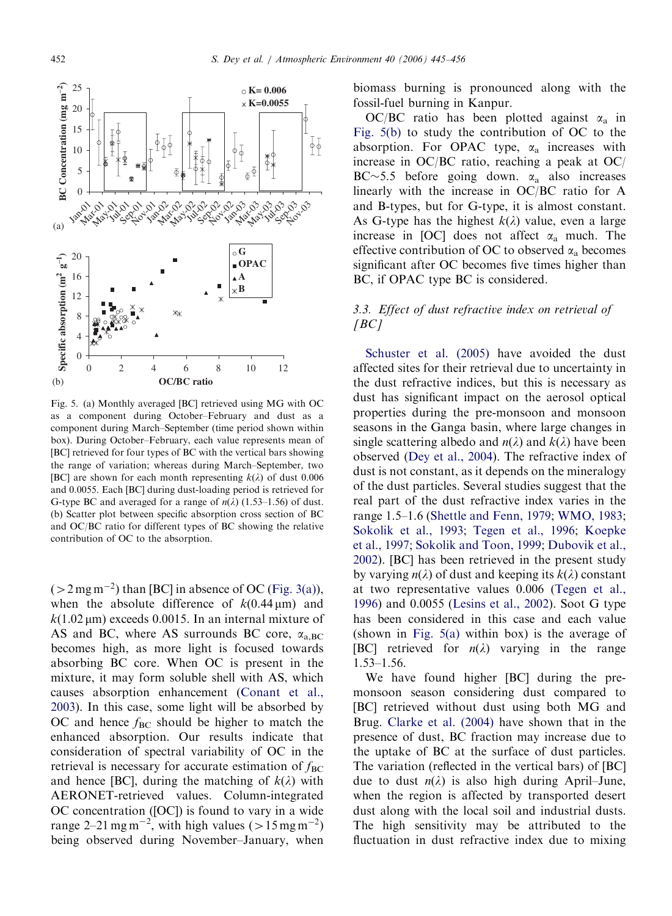<span id="page-7-0"></span>

Fig. 5. (a) Monthly averaged [BC] retrieved using MG with OC as a component during October–February and dust as a component during March–September (time period shown within box). During October–February, each value represents mean of [BC] retrieved for four types of BC with the vertical bars showing the range of variation; whereas during March–September, two [BC] are shown for each month representing  $k(\lambda)$  of dust 0.006 and 0.0055. Each [BC] during dust-loading period is retrieved for G-type BC and averaged for a range of  $n(\lambda)$  (1.53–1.56) of dust. (b) Scatter plot between specific absorption cross section of BC and OC/BC ratio for different types of BC showing the relative contribution of OC to the absorption.

 $(>2 \,\text{mg}\,\text{m}^{-2})$  than [BC] in absence of OC [\(Fig. 3\(a\)](#page-5-0)), when the absolute difference of  $k(0.44 \,\mu\text{m})$  and  $k(1.02 \,\mu\text{m})$  exceeds 0.0015. In an internal mixture of AS and BC, where AS surrounds BC core,  $\alpha_{a,BC}$ becomes high, as more light is focused towards absorbing BC core. When OC is present in the mixture, it may form soluble shell with AS, which causes absorption enhancement [\(Conant et al.,](#page-10-0) [2003](#page-10-0)). In this case, some light will be absorbed by OC and hence  $f_{BC}$  should be higher to match the enhanced absorption. Our results indicate that consideration of spectral variability of OC in the retrieval is necessary for accurate estimation of  $f_{BC}$ and hence [BC], during the matching of  $k(\lambda)$  with AERONET-retrieved values. Column-integrated OC concentration ([OC]) is found to vary in a wide range 2–21 mg m<sup>-2</sup>, with high values ( $> 15$  mg m<sup>-2</sup>) being observed during November–January, when biomass burning is pronounced along with the fossil-fuel burning in Kanpur.

OC/BC ratio has been plotted against  $\alpha_a$  in Fig. 5(b) to study the contribution of OC to the absorption. For OPAC type,  $\alpha_a$  increases with increase in OC/BC ratio, reaching a peak at OC/ BC $\sim$ 5.5 before going down.  $\alpha_a$  also increases linearly with the increase in OC/BC ratio for A and B-types, but for G-type, it is almost constant. As G-type has the highest  $k(\lambda)$  value, even a large increase in [OC] does not affect  $\alpha_a$  much. The effective contribution of OC to observed  $\alpha_a$  becomes significant after OC becomes five times higher than BC, if OPAC type BC is considered.

# 3.3. Effect of dust refractive index on retrieval of  $[BC]$

[Schuster et al. \(2005\)](#page-10-0) have avoided the dust affected sites for their retrieval due to uncertainty in the dust refractive indices, but this is necessary as dust has significant impact on the aerosol optical properties during the pre-monsoon and monsoon seasons in the Ganga basin, where large changes in single scattering albedo and  $n(\lambda)$  and  $k(\lambda)$  have been observed ([Dey et al., 2004](#page-10-0)). The refractive index of dust is not constant, as it depends on the mineralogy of the dust particles. Several studies suggest that the real part of the dust refractive index varies in the range 1.5–1.6 ([Shettle and Fenn, 1979;](#page-10-0) [WMO, 1983;](#page-11-0) [Sokolik et al., 1993;](#page-11-0) [Tegen et al., 1996;](#page-11-0) [Koepke](#page-10-0) [et al., 1997;](#page-10-0) [Sokolik and Toon, 1999;](#page-10-0) [Dubovik et al.,](#page-10-0) [2002](#page-10-0)). [BC] has been retrieved in the present study by varying  $n(\lambda)$  of dust and keeping its  $k(\lambda)$  constant at two representative values 0.006 ([Tegen et al.,](#page-11-0) [1996](#page-11-0)) and 0.0055 ([Lesins et al., 2002\)](#page-10-0). Soot G type has been considered in this case and each value (shown in Fig. 5(a) within box) is the average of [BC] retrieved for  $n(\lambda)$  varying in the range 1.53–1.56.

We have found higher [BC] during the premonsoon season considering dust compared to [BC] retrieved without dust using both MG and Brug. [Clarke et al. \(2004\)](#page-9-0) have shown that in the presence of dust, BC fraction may increase due to the uptake of BC at the surface of dust particles. The variation (reflected in the vertical bars) of [BC] due to dust  $n(\lambda)$  is also high during April–June, when the region is affected by transported desert dust along with the local soil and industrial dusts. The high sensitivity may be attributed to the fluctuation in dust refractive index due to mixing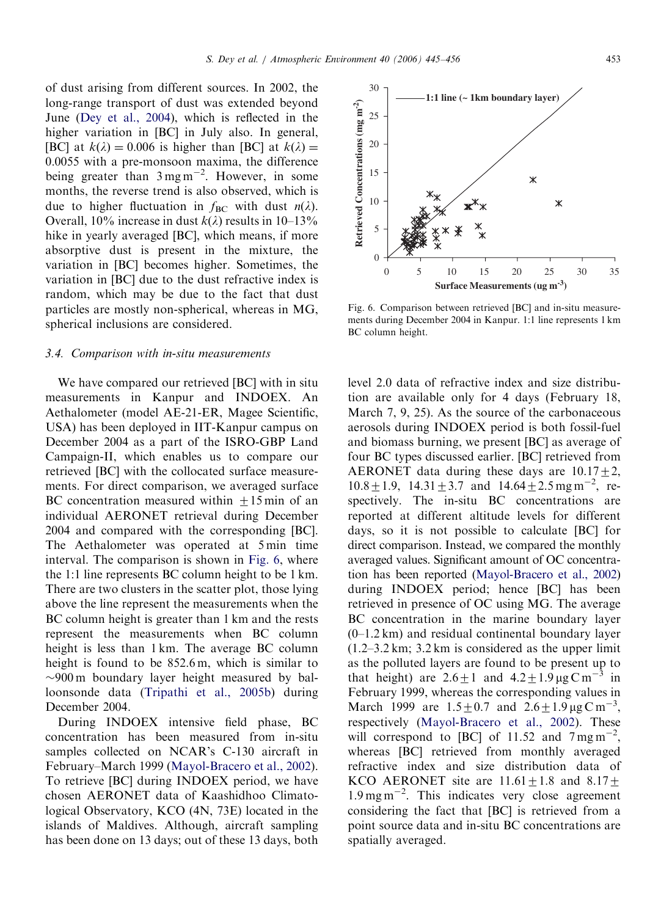of dust arising from different sources. In 2002, the long-range transport of dust was extended beyond June ([Dey et al., 2004](#page-10-0)), which is reflected in the higher variation in [BC] in July also. In general, [BC] at  $k(\lambda) = 0.006$  is higher than [BC] at  $k(\lambda) =$ 0:0055 with a pre-monsoon maxima, the difference being greater than  $3 \text{ mg m}^{-2}$ . However, in some months, the reverse trend is also observed, which is due to higher fluctuation in  $f_{BC}$  with dust  $n(\lambda)$ . Overall, 10% increase in dust  $k(\lambda)$  results in 10–13% hike in yearly averaged [BC], which means, if more absorptive dust is present in the mixture, the variation in [BC] becomes higher. Sometimes, the variation in [BC] due to the dust refractive index is random, which may be due to the fact that dust particles are mostly non-spherical, whereas in MG, spherical inclusions are considered.

#### 3.4. Comparison with in-situ measurements

We have compared our retrieved [BC] with in situ measurements in Kanpur and INDOEX. An Aethalometer (model AE-21-ER, Magee Scientific, USA) has been deployed in IIT-Kanpur campus on December 2004 as a part of the ISRO-GBP Land Campaign-II, which enables us to compare our retrieved [BC] with the collocated surface measurements. For direct comparison, we averaged surface BC concentration measured within  $\pm 15$  min of an individual AERONET retrieval during December 2004 and compared with the corresponding [BC]. The Aethalometer was operated at 5 min time interval. The comparison is shown in Fig. 6, where the 1:1 line represents BC column height to be 1 km. There are two clusters in the scatter plot, those lying above the line represent the measurements when the BC column height is greater than 1 km and the rests represent the measurements when BC column height is less than 1 km. The average BC column height is found to be 852.6 m, which is similar to  $\sim$ 900 m boundary layer height measured by balloonsonde data ([Tripathi et al., 2005b\)](#page-11-0) during December 2004.

During INDOEX intensive field phase, BC concentration has been measured from in-situ samples collected on NCAR's C-130 aircraft in February–March 1999 ([Mayol-Bracero et al., 2002\)](#page-10-0). To retrieve [BC] during INDOEX period, we have chosen AERONET data of Kaashidhoo Climatological Observatory, KCO (4N, 73E) located in the islands of Maldives. Although, aircraft sampling has been done on 13 days; out of these 13 days, both





**Surface Measurements (ug m-3)**

Fig. 6. Comparison between retrieved [BC] and in-situ measurements during December 2004 in Kanpur. 1:1 line represents 1 km

BC column height.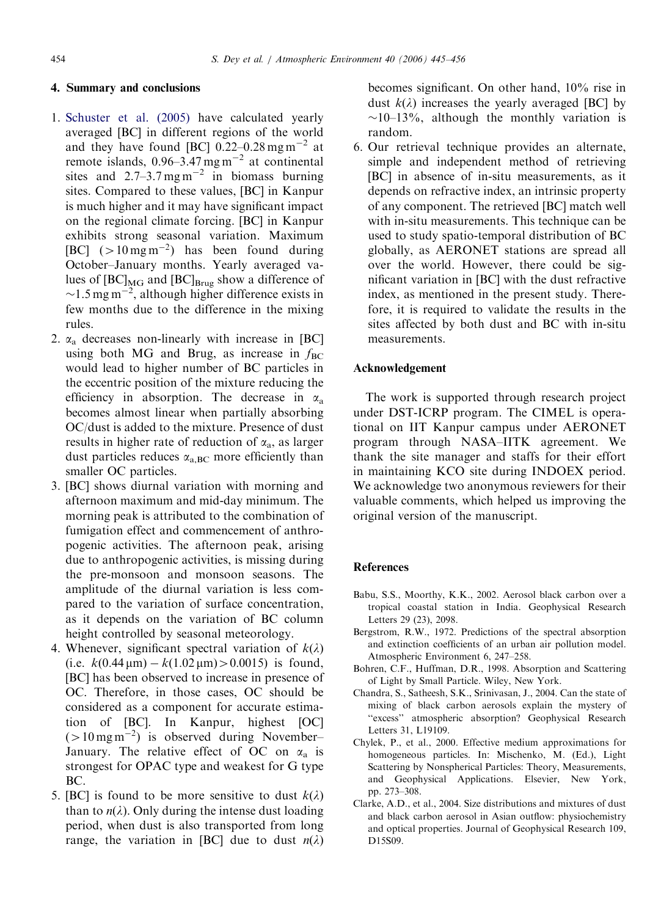# <span id="page-9-0"></span>4. Summary and conclusions

- 1. [Schuster et al. \(2005\)](#page-10-0) have calculated yearly averaged [BC] in different regions of the world and they have found [BC]  $0.22-0.28$  mg m<sup>-2</sup> at remote islands,  $0.96 - 3.47$  mg m<sup>-2</sup> at continental sites and  $2.7-3.7$  mg m<sup>-2</sup> in biomass burning sites. Compared to these values, [BC] in Kanpur is much higher and it may have significant impact on the regional climate forcing. [BC] in Kanpur exhibits strong seasonal variation. Maximum [BC]  $(>10 \,\mathrm{mg\,m^{-2}})$  has been found during October–January months. Yearly averaged values of  $[BC]_{MG}$  and  $[BC]_{Brug}$  show a difference of  $\sim$ 1.5 mg m<sup>-2</sup>, although higher difference exists in few months due to the difference in the mixing rules.
- 2.  $\alpha_a$  decreases non-linearly with increase in [BC] using both MG and Brug, as increase in  $f_{BC}$ would lead to higher number of BC particles in the eccentric position of the mixture reducing the efficiency in absorption. The decrease in  $\alpha_a$ becomes almost linear when partially absorbing OC/dust is added to the mixture. Presence of dust results in higher rate of reduction of  $\alpha_a$ , as larger dust particles reduces  $\alpha_{a,BC}$  more efficiently than smaller OC particles.
- 3. [BC] shows diurnal variation with morning and afternoon maximum and mid-day minimum. The morning peak is attributed to the combination of fumigation effect and commencement of anthropogenic activities. The afternoon peak, arising due to anthropogenic activities, is missing during the pre-monsoon and monsoon seasons. The amplitude of the diurnal variation is less compared to the variation of surface concentration, as it depends on the variation of BC column height controlled by seasonal meteorology.
- 4. Whenever, significant spectral variation of  $k(\lambda)$ (i.e.  $k(0.44 \,\mu\text{m}) - k(1.02 \,\mu\text{m}) > 0.0015$ ) is found, [BC] has been observed to increase in presence of OC. Therefore, in those cases, OC should be considered as a component for accurate estimation of [BC]. In Kanpur, highest [OC]  $(>10$  mg m<sup>-2</sup>) is observed during November– January. The relative effect of OC on  $\alpha_a$  is strongest for OPAC type and weakest for G type BC.
- 5. [BC] is found to be more sensitive to dust  $k(\lambda)$ than to  $n(\lambda)$ . Only during the intense dust loading period, when dust is also transported from long range, the variation in [BC] due to dust  $n(\lambda)$

becomes significant. On other hand, 10% rise in dust  $k(\lambda)$  increases the yearly averaged [BC] by  $\sim$ 10–13%, although the monthly variation is random.

6. Our retrieval technique provides an alternate, simple and independent method of retrieving [BC] in absence of in-situ measurements, as it depends on refractive index, an intrinsic property of any component. The retrieved [BC] match well with in-situ measurements. This technique can be used to study spatio-temporal distribution of BC globally, as AERONET stations are spread all over the world. However, there could be significant variation in [BC] with the dust refractive index, as mentioned in the present study. Therefore, it is required to validate the results in the sites affected by both dust and BC with in-situ measurements.

#### Acknowledgement

The work is supported through research project under DST-ICRP program. The CIMEL is operational on IIT Kanpur campus under AERONET program through NASA–IITK agreement. We thank the site manager and staffs for their effort in maintaining KCO site during INDOEX period. We acknowledge two anonymous reviewers for their valuable comments, which helped us improving the original version of the manuscript.

#### **References**

- Babu, S.S., Moorthy, K.K., 2002. Aerosol black carbon over a tropical coastal station in India. Geophysical Research Letters 29 (23), 2098.
- Bergstrom, R.W., 1972. Predictions of the spectral absorption and extinction coefficients of an urban air pollution model. Atmospheric Environment 6, 247–258.
- Bohren, C.F., Huffman, D.R., 1998. Absorption and Scattering of Light by Small Particle. Wiley, New York.
- Chandra, S., Satheesh, S.K., Srinivasan, J., 2004. Can the state of mixing of black carbon aerosols explain the mystery of ''excess'' atmospheric absorption? Geophysical Research Letters 31, L19109.
- Chylek, P., et al., 2000. Effective medium approximations for homogeneous particles. In: Mischenko, M. (Ed.), Light Scattering by Nonspherical Particles: Theory, Measurements, and Geophysical Applications. Elsevier, New York, pp. 273–308.
- Clarke, A.D., et al., 2004. Size distributions and mixtures of dust and black carbon aerosol in Asian outflow: physiochemistry and optical properties. Journal of Geophysical Research 109, D15S09.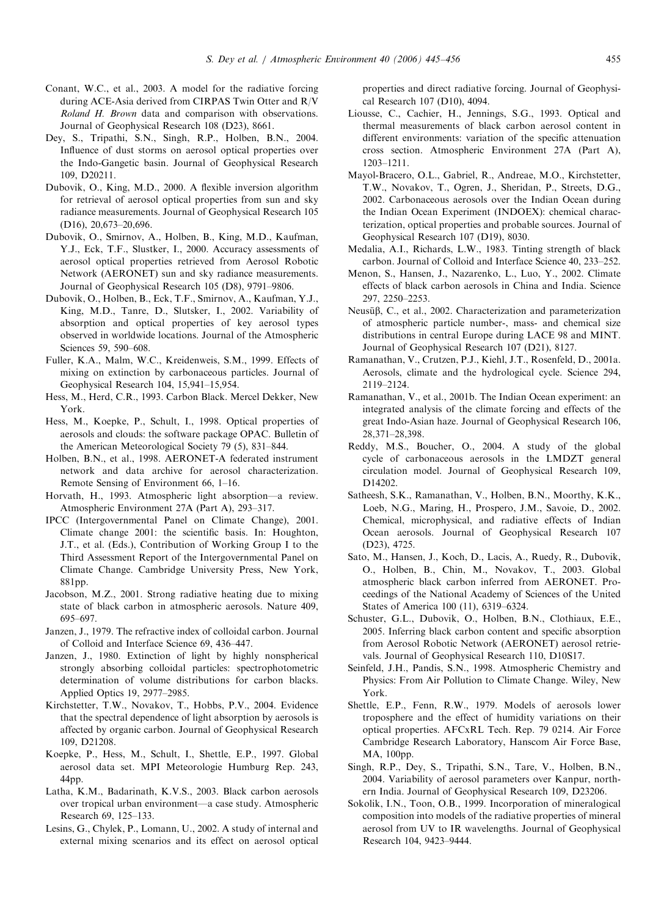- <span id="page-10-0"></span>Conant, W.C., et al., 2003. A model for the radiative forcing during ACE-Asia derived from CIRPAS Twin Otter and R/V Roland H. Brown data and comparison with observations. Journal of Geophysical Research 108 (D23), 8661.
- Dey, S., Tripathi, S.N., Singh, R.P., Holben, B.N., 2004. Influence of dust storms on aerosol optical properties over the Indo-Gangetic basin. Journal of Geophysical Research 109, D20211.
- Dubovik, O., King, M.D., 2000. A flexible inversion algorithm for retrieval of aerosol optical properties from sun and sky radiance measurements. Journal of Geophysical Research 105 (D16), 20,673–20,696.
- Dubovik, O., Smirnov, A., Holben, B., King, M.D., Kaufman, Y.J., Eck, T.F., Slustker, I., 2000. Accuracy assessments of aerosol optical properties retrieved from Aerosol Robotic Network (AERONET) sun and sky radiance measurements. Journal of Geophysical Research 105 (D8), 9791–9806.
- Dubovik, O., Holben, B., Eck, T.F., Smirnov, A., Kaufman, Y.J., King, M.D., Tanre, D., Slutsker, I., 2002. Variability of absorption and optical properties of key aerosol types observed in worldwide locations. Journal of the Atmospheric Sciences 59, 590–608.
- Fuller, K.A., Malm, W.C., Kreidenweis, S.M., 1999. Effects of mixing on extinction by carbonaceous particles. Journal of Geophysical Research 104, 15,941–15,954.
- Hess, M., Herd, C.R., 1993. Carbon Black. Mercel Dekker, New York.
- Hess, M., Koepke, P., Schult, I., 1998. Optical properties of aerosols and clouds: the software package OPAC. Bulletin of the American Meteorological Society 79 (5), 831–844.
- Holben, B.N., et al., 1998. AERONET-A federated instrument network and data archive for aerosol characterization. Remote Sensing of Environment 66, 1–16.
- Horvath, H., 1993. Atmospheric light absorption—a review. Atmospheric Environment 27A (Part A), 293–317.
- IPCC (Intergovernmental Panel on Climate Change), 2001. Climate change 2001: the scientific basis. In: Houghton, J.T., et al. (Eds.), Contribution of Working Group I to the Third Assessment Report of the Intergovernmental Panel on Climate Change. Cambridge University Press, New York, 881pp.
- Jacobson, M.Z., 2001. Strong radiative heating due to mixing state of black carbon in atmospheric aerosols. Nature 409, 695–697.
- Janzen, J., 1979. The refractive index of colloidal carbon. Journal of Colloid and Interface Science 69, 436–447.
- Janzen, J., 1980. Extinction of light by highly nonspherical strongly absorbing colloidal particles: spectrophotometric determination of volume distributions for carbon blacks. Applied Optics 19, 2977–2985.
- Kirchstetter, T.W., Novakov, T., Hobbs, P.V., 2004. Evidence that the spectral dependence of light absorption by aerosols is affected by organic carbon. Journal of Geophysical Research 109, D21208.
- Koepke, P., Hess, M., Schult, I., Shettle, E.P., 1997. Global aerosol data set. MPI Meteorologie Humburg Rep. 243, 44pp.
- Latha, K.M., Badarinath, K.V.S., 2003. Black carbon aerosols over tropical urban environment—a case study. Atmospheric Research 69, 125–133.
- Lesins, G., Chylek, P., Lomann, U., 2002. A study of internal and external mixing scenarios and its effect on aerosol optical

properties and direct radiative forcing. Journal of Geophysical Research 107 (D10), 4094.

- Liousse, C., Cachier, H., Jennings, S.G., 1993. Optical and thermal measurements of black carbon aerosol content in different environments: variation of the specific attenuation cross section. Atmospheric Environment 27A (Part A), 1203–1211.
- Mayol-Bracero, O.L., Gabriel, R., Andreae, M.O., Kirchstetter, T.W., Novakov, T., Ogren, J., Sheridan, P., Streets, D.G., 2002. Carbonaceous aerosols over the Indian Ocean during the Indian Ocean Experiment (INDOEX): chemical characterization, optical properties and probable sources. Journal of Geophysical Research 107 (D19), 8030.
- Medalia, A.I., Richards, L.W., 1983. Tinting strength of black carbon. Journal of Colloid and Interface Science 40, 233–252.
- Menon, S., Hansen, J., Nazarenko, L., Luo, Y., 2002. Climate effects of black carbon aerosols in China and India. Science 297, 2250–2253.
- Neusüβ, C., et al., 2002. Characterization and parameterization of atmospheric particle number-, mass- and chemical size distributions in central Europe during LACE 98 and MINT. Journal of Geophysical Research 107 (D21), 8127.
- Ramanathan, V., Crutzen, P.J., Kiehl, J.T., Rosenfeld, D., 2001a. Aerosols, climate and the hydrological cycle. Science 294, 2119–2124.
- Ramanathan, V., et al., 2001b. The Indian Ocean experiment: an integrated analysis of the climate forcing and effects of the great Indo-Asian haze. Journal of Geophysical Research 106, 28,371–28,398.
- Reddy, M.S., Boucher, O., 2004. A study of the global cycle of carbonaceous aerosols in the LMDZT general circulation model. Journal of Geophysical Research 109, D14202.
- Satheesh, S.K., Ramanathan, V., Holben, B.N., Moorthy, K.K., Loeb, N.G., Maring, H., Prospero, J.M., Savoie, D., 2002. Chemical, microphysical, and radiative effects of Indian Ocean aerosols. Journal of Geophysical Research 107 (D23), 4725.
- Sato, M., Hansen, J., Koch, D., Lacis, A., Ruedy, R., Dubovik, O., Holben, B., Chin, M., Novakov, T., 2003. Global atmospheric black carbon inferred from AERONET. Proceedings of the National Academy of Sciences of the United States of America 100 (11), 6319–6324.
- Schuster, G.L., Dubovik, O., Holben, B.N., Clothiaux, E.E., 2005. Inferring black carbon content and specific absorption from Aerosol Robotic Network (AERONET) aerosol retrievals. Journal of Geophysical Research 110, D10S17.
- Seinfeld, J.H., Pandis, S.N., 1998. Atmospheric Chemistry and Physics: From Air Pollution to Climate Change. Wiley, New York.
- Shettle, E.P., Fenn, R.W., 1979. Models of aerosols lower troposphere and the effect of humidity variations on their optical properties. AFCxRL Tech. Rep. 79 0214. Air Force Cambridge Research Laboratory, Hanscom Air Force Base, MA, 100pp.
- Singh, R.P., Dey, S., Tripathi, S.N., Tare, V., Holben, B.N., 2004. Variability of aerosol parameters over Kanpur, northern India. Journal of Geophysical Research 109, D23206.
- Sokolik, I.N., Toon, O.B., 1999. Incorporation of mineralogical composition into models of the radiative properties of mineral aerosol from UV to IR wavelengths. Journal of Geophysical Research 104, 9423–9444.